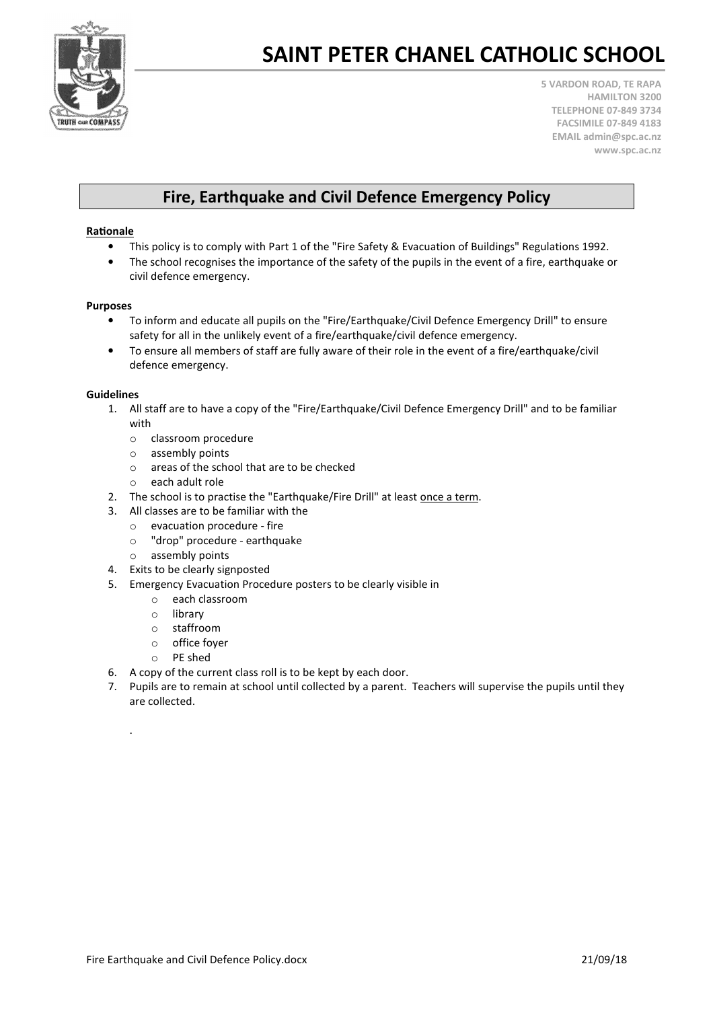

5 VARDON ROAD, TE RAPA HAMILTON 3200 TELEPHONE 07-849 3734 FACSIMILE 07-849 4183 EMAIL admin@spc.ac.nz www.spc.ac.nz

### Fire, Earthquake and Civil Defence Emergency Policy

#### Rationale

- This policy is to comply with Part 1 of the "Fire Safety & Evacuation of Buildings" Regulations 1992.
- The school recognises the importance of the safety of the pupils in the event of a fire, earthquake or civil defence emergency.

#### Purposes

- To inform and educate all pupils on the "Fire/Earthquake/Civil Defence Emergency Drill" to ensure safety for all in the unlikely event of a fire/earthquake/civil defence emergency.
- To ensure all members of staff are fully aware of their role in the event of a fire/earthquake/civil defence emergency.

#### Guidelines

.

- 1. All staff are to have a copy of the "Fire/Earthquake/Civil Defence Emergency Drill" and to be familiar with
	- o classroom procedure
	- o assembly points
	- o areas of the school that are to be checked
	- o each adult role
- 2. The school is to practise the "Earthquake/Fire Drill" at least once a term.
- 3. All classes are to be familiar with the
	- o evacuation procedure fire
	- o "drop" procedure earthquake
	- o assembly points
- 4. Exits to be clearly signposted
- 5. Emergency Evacuation Procedure posters to be clearly visible in
	- o each classroom
	- o library
	- o staffroom
	- o office foyer
	- o PE shed
- 6. A copy of the current class roll is to be kept by each door.
- 7. Pupils are to remain at school until collected by a parent. Teachers will supervise the pupils until they are collected.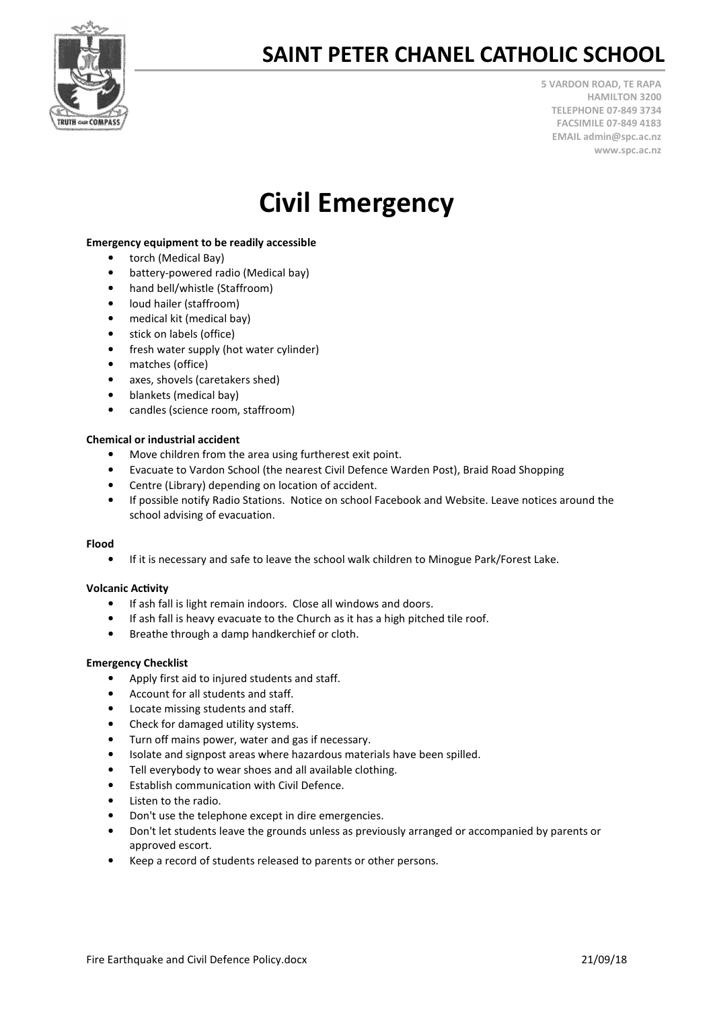

5 VARDON ROAD, TE RAPA HAMILTON 3200 TELEPHONE 07-849 3734 FACSIMILE 07-849 4183 EMAIL admin@spc.ac.nz www.spc.ac.nz

## Civil Emergency

#### Emergency equipment to be readily accessible

- torch (Medical Bay)
- battery-powered radio (Medical bay)
- hand bell/whistle (Staffroom)
- loud hailer (staffroom)
- medical kit (medical bay)
- stick on labels (office)
- fresh water supply (hot water cylinder)
- matches (office)
- axes, shovels (caretakers shed)
- blankets (medical bay)
- candles (science room, staffroom)

#### Chemical or industrial accident

- Move children from the area using furtherest exit point.
- Evacuate to Vardon School (the nearest Civil Defence Warden Post), Braid Road Shopping
- Centre (Library) depending on location of accident.
- If possible notify Radio Stations. Notice on school Facebook and Website. Leave notices around the school advising of evacuation.

#### Flood

• If it is necessary and safe to leave the school walk children to Minogue Park/Forest Lake.

#### **Volcanic Activity**

- If ash fall is light remain indoors. Close all windows and doors.
- If ash fall is heavy evacuate to the Church as it has a high pitched tile roof.
- Breathe through a damp handkerchief or cloth.

#### Emergency Checklist

- Apply first aid to injured students and staff.
- Account for all students and staff.
- Locate missing students and staff.
- Check for damaged utility systems.
- Turn off mains power, water and gas if necessary.
- Isolate and signpost areas where hazardous materials have been spilled.
- Tell everybody to wear shoes and all available clothing.
- Establish communication with Civil Defence.
- Listen to the radio.
- Don't use the telephone except in dire emergencies.
- Don't let students leave the grounds unless as previously arranged or accompanied by parents or approved escort.
- Keep a record of students released to parents or other persons.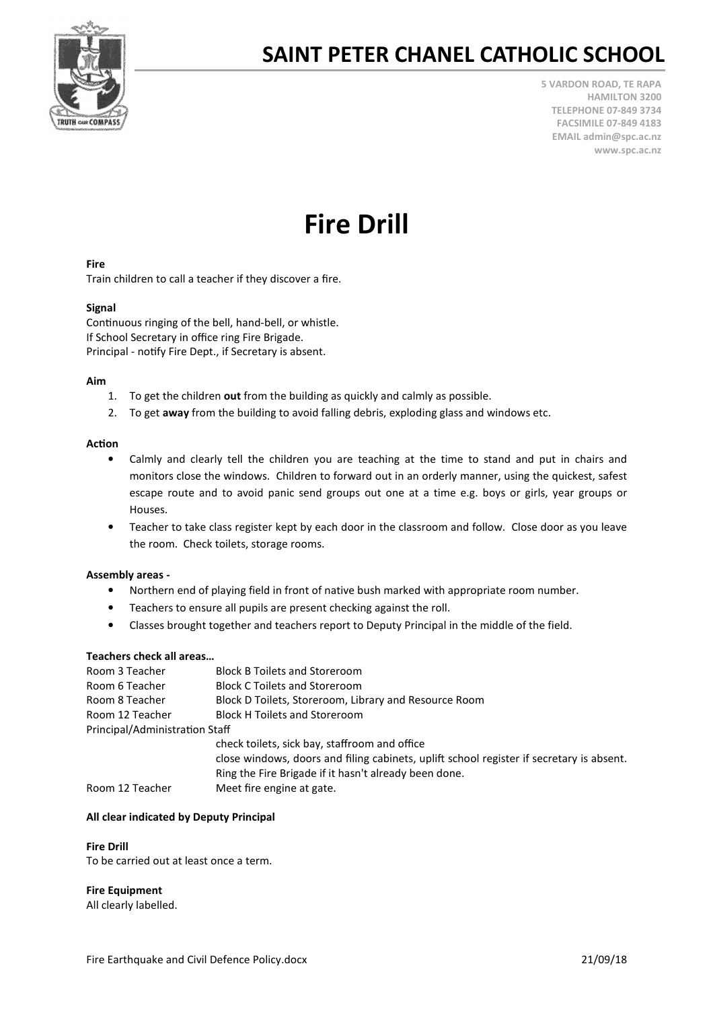

5 VARDON ROAD, TE RAPA HAMILTON 3200 TELEPHONE 07-849 3734 FACSIMILE 07-849 4183 EMAIL admin@spc.ac.nz www.spc.ac.nz

# Fire Drill

#### Fire

Train children to call a teacher if they discover a fire.

#### Signal

Continuous ringing of the bell, hand-bell, or whistle. If School Secretary in office ring Fire Brigade. Principal - notify Fire Dept., if Secretary is absent.

#### Aim

- 1. To get the children out from the building as quickly and calmly as possible.
- 2. To get away from the building to avoid falling debris, exploding glass and windows etc.

#### Action

- Calmly and clearly tell the children you are teaching at the time to stand and put in chairs and monitors close the windows. Children to forward out in an orderly manner, using the quickest, safest escape route and to avoid panic send groups out one at a time e.g. boys or girls, year groups or Houses.
- Teacher to take class register kept by each door in the classroom and follow. Close door as you leave the room. Check toilets, storage rooms.

#### Assembly areas -

- Northern end of playing field in front of native bush marked with appropriate room number.
- Teachers to ensure all pupils are present checking against the roll.
- Classes brought together and teachers report to Deputy Principal in the middle of the field.

#### Teachers check all areas…

| Room 3 Teacher                 | <b>Block B Toilets and Storeroom</b>                                                     |  |  |  |  |
|--------------------------------|------------------------------------------------------------------------------------------|--|--|--|--|
| Room 6 Teacher                 | <b>Block C Toilets and Storeroom</b>                                                     |  |  |  |  |
| Room 8 Teacher                 | Block D Toilets, Storeroom, Library and Resource Room                                    |  |  |  |  |
| Room 12 Teacher                | <b>Block H Toilets and Storeroom</b>                                                     |  |  |  |  |
| Principal/Administration Staff |                                                                                          |  |  |  |  |
|                                | check toilets, sick bay, staffroom and office                                            |  |  |  |  |
|                                | close windows, doors and filing cabinets, uplift school register if secretary is absent. |  |  |  |  |
|                                | Ring the Fire Brigade if it hasn't already been done.                                    |  |  |  |  |
| Room 12 Teacher                | Meet fire engine at gate.                                                                |  |  |  |  |

#### All clear indicated by Deputy Principal

#### Fire Drill

To be carried out at least once a term.

#### Fire Equipment

All clearly labelled.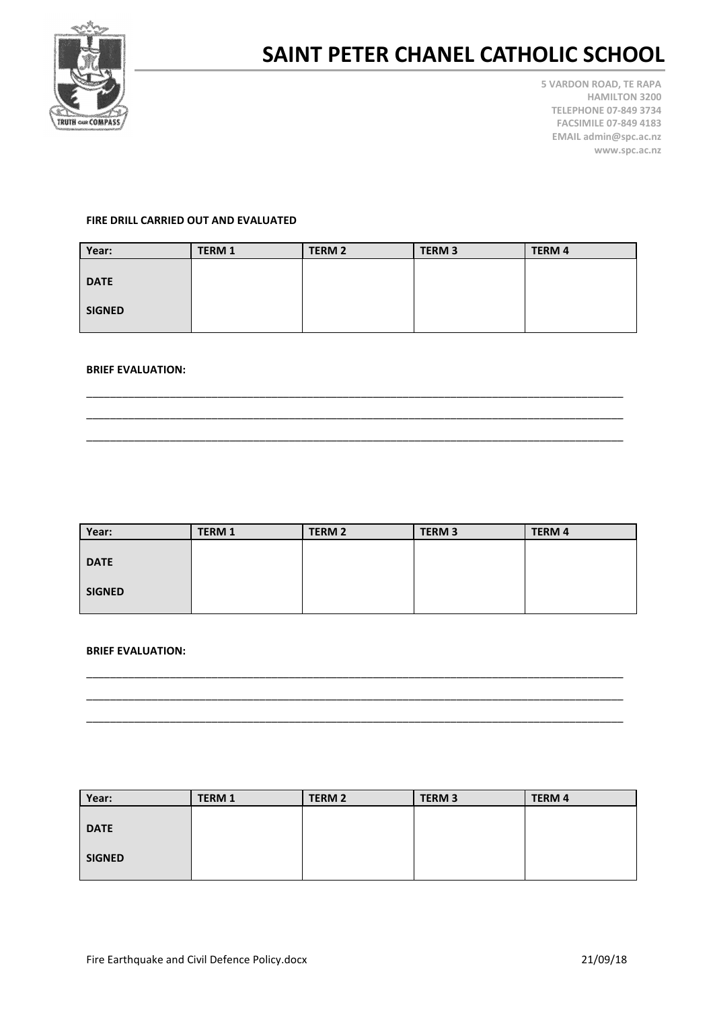

5 VARDON ROAD, TE RAPA HAMILTON 3200 TELEPHONE 07-849 3734 FACSIMILE 07-849 4183 EMAIL admin@spc.ac.nz www.spc.ac.nz

#### FIRE DRILL CARRIED OUT AND EVALUATED

| Year:         | <b>TERM 1</b> | <b>TERM 2</b> | <b>TERM 3</b> | <b>TERM 4</b> |
|---------------|---------------|---------------|---------------|---------------|
|               |               |               |               |               |
| <b>DATE</b>   |               |               |               |               |
|               |               |               |               |               |
| <b>SIGNED</b> |               |               |               |               |
|               |               |               |               |               |

\_\_\_\_\_\_\_\_\_\_\_\_\_\_\_\_\_\_\_\_\_\_\_\_\_\_\_\_\_\_\_\_\_\_\_\_\_\_\_\_\_\_\_\_\_\_\_\_\_\_\_\_\_\_\_\_\_\_\_\_\_\_\_\_\_\_\_\_\_\_\_\_\_\_\_\_\_\_\_\_\_\_\_\_\_\_\_\_\_\_ \_\_\_\_\_\_\_\_\_\_\_\_\_\_\_\_\_\_\_\_\_\_\_\_\_\_\_\_\_\_\_\_\_\_\_\_\_\_\_\_\_\_\_\_\_\_\_\_\_\_\_\_\_\_\_\_\_\_\_\_\_\_\_\_\_\_\_\_\_\_\_\_\_\_\_\_\_\_\_\_\_\_\_\_\_\_\_\_\_\_ \_\_\_\_\_\_\_\_\_\_\_\_\_\_\_\_\_\_\_\_\_\_\_\_\_\_\_\_\_\_\_\_\_\_\_\_\_\_\_\_\_\_\_\_\_\_\_\_\_\_\_\_\_\_\_\_\_\_\_\_\_\_\_\_\_\_\_\_\_\_\_\_\_\_\_\_\_\_\_\_\_\_\_\_\_\_\_\_\_\_

#### BRIEF EVALUATION:

| Year:         | <b>TERM 1</b> | <b>TERM 2</b> | TERM <sub>3</sub> | <b>TERM 4</b> |
|---------------|---------------|---------------|-------------------|---------------|
|               |               |               |                   |               |
| <b>DATE</b>   |               |               |                   |               |
|               |               |               |                   |               |
| <b>SIGNED</b> |               |               |                   |               |
|               |               |               |                   |               |

\_\_\_\_\_\_\_\_\_\_\_\_\_\_\_\_\_\_\_\_\_\_\_\_\_\_\_\_\_\_\_\_\_\_\_\_\_\_\_\_\_\_\_\_\_\_\_\_\_\_\_\_\_\_\_\_\_\_\_\_\_\_\_\_\_\_\_\_\_\_\_\_\_\_\_\_\_\_\_\_\_\_\_\_\_\_\_\_\_\_ \_\_\_\_\_\_\_\_\_\_\_\_\_\_\_\_\_\_\_\_\_\_\_\_\_\_\_\_\_\_\_\_\_\_\_\_\_\_\_\_\_\_\_\_\_\_\_\_\_\_\_\_\_\_\_\_\_\_\_\_\_\_\_\_\_\_\_\_\_\_\_\_\_\_\_\_\_\_\_\_\_\_\_\_\_\_\_\_\_\_ \_\_\_\_\_\_\_\_\_\_\_\_\_\_\_\_\_\_\_\_\_\_\_\_\_\_\_\_\_\_\_\_\_\_\_\_\_\_\_\_\_\_\_\_\_\_\_\_\_\_\_\_\_\_\_\_\_\_\_\_\_\_\_\_\_\_\_\_\_\_\_\_\_\_\_\_\_\_\_\_\_\_\_\_\_\_\_\_\_\_

#### BRIEF EVALUATION:

| Year:         | <b>TERM 1</b> | <b>TERM 2</b> | <b>TERM 3</b> | <b>TERM 4</b> |
|---------------|---------------|---------------|---------------|---------------|
|               |               |               |               |               |
| <b>DATE</b>   |               |               |               |               |
|               |               |               |               |               |
| <b>SIGNED</b> |               |               |               |               |
|               |               |               |               |               |